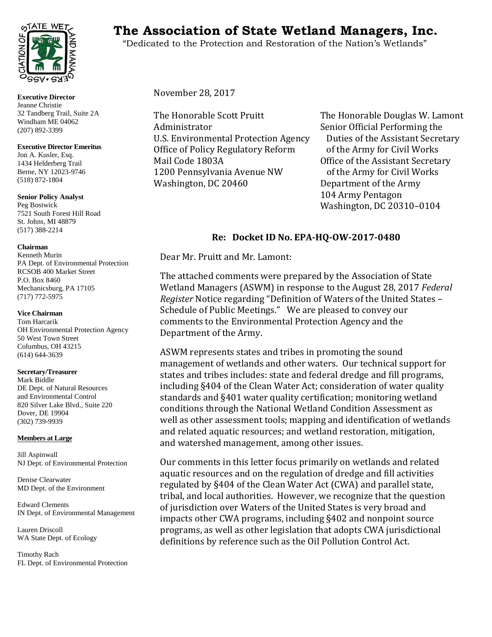

**Executive Director** Jeanne Christie 32 Tandberg Trail, Suite 2A Windham ME 04062 (207) 892-3399

## **Executive Director Emeritus**

Jon A. Kusler, Esq. 1434 Helderberg Trail Berne, NY 12023-9746 (518) 872-1804

**Senior Policy Analyst** Peg Bostwick 7521 South Forest Hill Road St. Johns, MI 48879 (517) 388-2214

### **Chairman**

Kenneth Murin PA Dept. of Environmental Protection RCSOB 400 Market Street P.O. Box 8460 Mechanicsburg, PA 17105 (717) 772-5975

#### **Vice Chairman**

Tom Harcarik OH Environmental Protection Agency 50 West Town Street Columbus, OH 43215 (614) 644-3639

#### **Secretary/Treasurer**

Mark Biddle DE Dept. of Natural Resources and Environmental Control 820 Silver Lake Blvd., Suite 220 Dover, DE 19904 (302) 739-9939

# **Members at Large**

Jill Aspinwall NJ Dept. of Environmental Protection

Denise Clearwater MD Dept. of the Environment

Edward Clements IN Dept. of Environmental Management

Lauren Driscoll WA State Dept. of Ecology

Timothy Rach FL Dept. of Environmental Protection

# TATE WET<sub>S</sub> The Association of State Wetland Managers, Inc.

"Dedicated to the Protection and Restoration of the Nation's Wetlands"

November 28, 2017

The Honorable Scott Pruitt<br>
Administrator
Senior Official Performing the U.S. Environmental Protection Agency Duties of the Assistant Secre<br>Office of Policy Regulatory Reform of the Army for Civil Works Office of Policy Regulatory Reform<br>Mail Code 1803A 1200 Pennsylvania Avenue NW<br>Washington, DC 20460

Senior Official Performing the<br>Duties of the Assistant Secretary Office of the Assistant Secretary<br>of the Army for Civil Works Department of the Army 104 Army Pentagon Washington, DC 20310–0104

# **Re: Docket ID No. EPA-HQ-OW-2017-0480**

Dear Mr. Pruitt and Mr. Lamont:

The attached comments were prepared by the Association of State Wetland Managers (ASWM) in response to the August 28, 2017 *Federal Register* Notice regarding "Definition of Waters of the United States – Schedule of Public Meetings." We are pleased to convey our comments to the Environmental Protection Agency and the Department of the Army.

ASWM represents states and tribes in promoting the sound management of wetlands and other waters. Our technical support for states and tribes includes: state and federal dredge and fill programs, including §404 of the Clean Water Act; consideration of water quality standards and §401 water quality certification; monitoring wetland conditions through the National Wetland Condition Assessment as well as other assessment tools; mapping and identification of wetlands and related aquatic resources; and wetland restoration, mitigation, and watershed management, among other issues.

Our comments in this letter focus primarily on wetlands and related aquatic resources and on the regulation of dredge and fill activities regulated by §404 of the Clean Water Act (CWA) and parallel state, tribal, and local authorities. However, we recognize that the question of jurisdiction over Waters of the United States is very broad and impacts other CWA programs, including §402 and nonpoint source programs, as well as other legislation that adopts CWA jurisdictional definitions by reference such as the Oil Pollution Control Act.